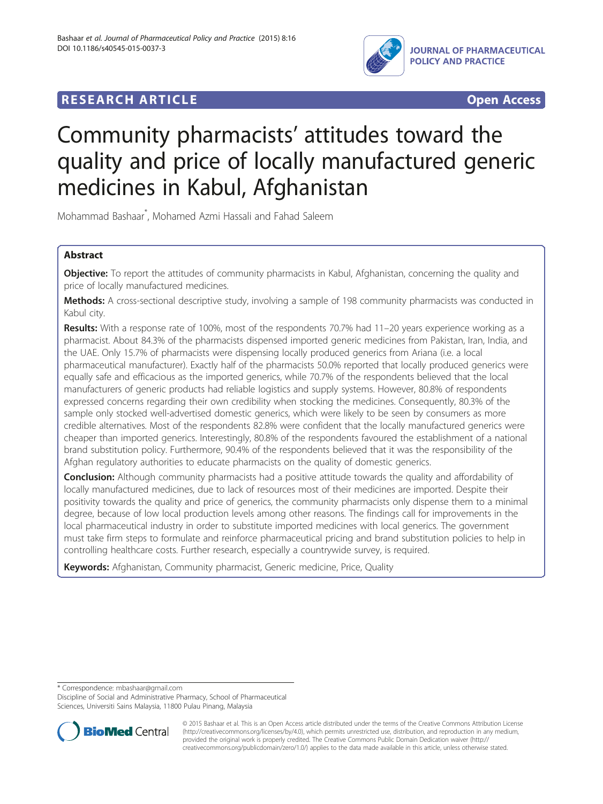

## **RESEARCH ARTICLE Example 2018 12:00 DEAR COPEN ACCESS**

# Community pharmacists' attitudes toward the quality and price of locally manufactured generic medicines in Kabul, Afghanistan

Mohammad Bashaar\* , Mohamed Azmi Hassali and Fahad Saleem

## Abstract

Objective: To report the attitudes of community pharmacists in Kabul, Afghanistan, concerning the quality and price of locally manufactured medicines.

Methods: A cross-sectional descriptive study, involving a sample of 198 community pharmacists was conducted in Kabul city.

Results: With a response rate of 100%, most of the respondents 70.7% had 11–20 years experience working as a pharmacist. About 84.3% of the pharmacists dispensed imported generic medicines from Pakistan, Iran, India, and the UAE. Only 15.7% of pharmacists were dispensing locally produced generics from Ariana (i.e. a local pharmaceutical manufacturer). Exactly half of the pharmacists 50.0% reported that locally produced generics were equally safe and efficacious as the imported generics, while 70.7% of the respondents believed that the local manufacturers of generic products had reliable logistics and supply systems. However, 80.8% of respondents expressed concerns regarding their own credibility when stocking the medicines. Consequently, 80.3% of the sample only stocked well-advertised domestic generics, which were likely to be seen by consumers as more credible alternatives. Most of the respondents 82.8% were confident that the locally manufactured generics were cheaper than imported generics. Interestingly, 80.8% of the respondents favoured the establishment of a national brand substitution policy. Furthermore, 90.4% of the respondents believed that it was the responsibility of the Afghan regulatory authorities to educate pharmacists on the quality of domestic generics.

**Conclusion:** Although community pharmacists had a positive attitude towards the quality and affordability of locally manufactured medicines, due to lack of resources most of their medicines are imported. Despite their positivity towards the quality and price of generics, the community pharmacists only dispense them to a minimal degree, because of low local production levels among other reasons. The findings call for improvements in the local pharmaceutical industry in order to substitute imported medicines with local generics. The government must take firm steps to formulate and reinforce pharmaceutical pricing and brand substitution policies to help in controlling healthcare costs. Further research, especially a countrywide survey, is required.

Keywords: Afghanistan, Community pharmacist, Generic medicine, Price, Quality

\* Correspondence: [mbashaar@gmail.com](mailto:mbashaar@gmail.com)

Discipline of Social and Administrative Pharmacy, School of Pharmaceutical Sciences, Universiti Sains Malaysia, 11800 Pulau Pinang, Malaysia



© 2015 Bashaar et al. This is an Open Access article distributed under the terms of the Creative Commons Attribution License [\(http://creativecommons.org/licenses/by/4.0\)](http://creativecommons.org/licenses/by/4.0), which permits unrestricted use, distribution, and reproduction in any medium, provided the original work is properly credited. The Creative Commons Public Domain Dedication waiver [\(http://](http://creativecommons.org/publicdomain/zero/1.0/) [creativecommons.org/publicdomain/zero/1.0/\)](http://creativecommons.org/publicdomain/zero/1.0/) applies to the data made available in this article, unless otherwise stated.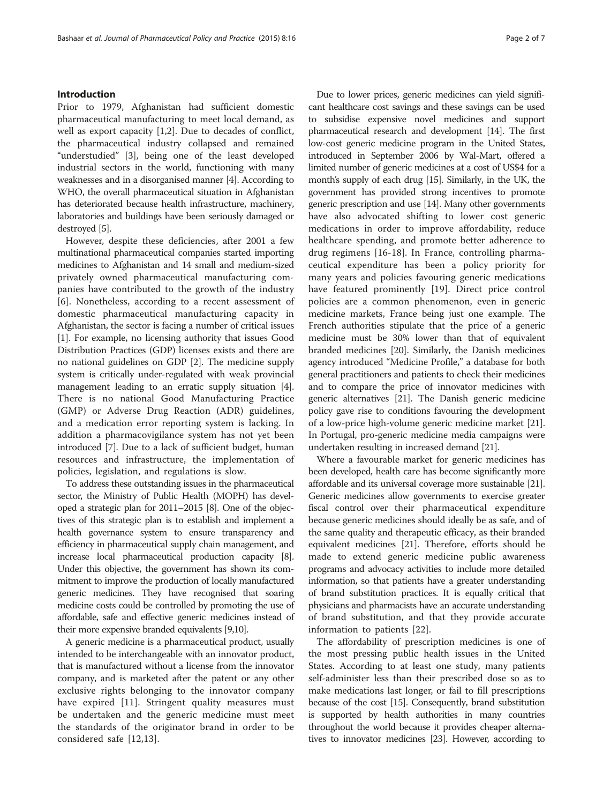## Introduction

Prior to 1979, Afghanistan had sufficient domestic pharmaceutical manufacturing to meet local demand, as well as export capacity [[1,2\]](#page-5-0). Due to decades of conflict, the pharmaceutical industry collapsed and remained "understudied" [[3\]](#page-5-0), being one of the least developed industrial sectors in the world, functioning with many weaknesses and in a disorganised manner [\[4](#page-5-0)]. According to WHO, the overall pharmaceutical situation in Afghanistan has deteriorated because health infrastructure, machinery, laboratories and buildings have been seriously damaged or destroyed [\[5](#page-5-0)].

However, despite these deficiencies, after 2001 a few multinational pharmaceutical companies started importing medicines to Afghanistan and 14 small and medium-sized privately owned pharmaceutical manufacturing companies have contributed to the growth of the industry [[6\]](#page-5-0). Nonetheless, according to a recent assessment of domestic pharmaceutical manufacturing capacity in Afghanistan, the sector is facing a number of critical issues [[1\]](#page-5-0). For example, no licensing authority that issues Good Distribution Practices (GDP) licenses exists and there are no national guidelines on GDP [\[2](#page-5-0)]. The medicine supply system is critically under-regulated with weak provincial management leading to an erratic supply situation [[4](#page-5-0)]. There is no national Good Manufacturing Practice (GMP) or Adverse Drug Reaction (ADR) guidelines, and a medication error reporting system is lacking. In addition a pharmacovigilance system has not yet been introduced [[7\]](#page-5-0). Due to a lack of sufficient budget, human resources and infrastructure, the implementation of policies, legislation, and regulations is slow.

To address these outstanding issues in the pharmaceutical sector, the Ministry of Public Health (MOPH) has developed a strategic plan for 2011–2015 [[8](#page-5-0)]. One of the objectives of this strategic plan is to establish and implement a health governance system to ensure transparency and efficiency in pharmaceutical supply chain management, and increase local pharmaceutical production capacity [[8](#page-5-0)]. Under this objective, the government has shown its commitment to improve the production of locally manufactured generic medicines. They have recognised that soaring medicine costs could be controlled by promoting the use of affordable, safe and effective generic medicines instead of their more expensive branded equivalents [[9,10\]](#page-5-0).

A generic medicine is a pharmaceutical product, usually intended to be interchangeable with an innovator product, that is manufactured without a license from the innovator company, and is marketed after the patent or any other exclusive rights belonging to the innovator company have expired [[11\]](#page-5-0). Stringent quality measures must be undertaken and the generic medicine must meet the standards of the originator brand in order to be considered safe [[12,13](#page-5-0)].

Due to lower prices, generic medicines can yield significant healthcare cost savings and these savings can be used to subsidise expensive novel medicines and support pharmaceutical research and development [\[14](#page-5-0)]. The first low-cost generic medicine program in the United States, introduced in September 2006 by Wal-Mart, offered a limited number of generic medicines at a cost of US\$4 for a month's supply of each drug [[15](#page-5-0)]. Similarly, in the UK, the government has provided strong incentives to promote generic prescription and use [[14\]](#page-5-0). Many other governments have also advocated shifting to lower cost generic medications in order to improve affordability, reduce healthcare spending, and promote better adherence to drug regimens [\[16](#page-6-0)-[18\]](#page-6-0). In France, controlling pharmaceutical expenditure has been a policy priority for many years and policies favouring generic medications have featured prominently [\[19](#page-6-0)]. Direct price control policies are a common phenomenon, even in generic medicine markets, France being just one example. The French authorities stipulate that the price of a generic medicine must be 30% lower than that of equivalent branded medicines [\[20\]](#page-6-0). Similarly, the Danish medicines agency introduced "Medicine Profile," a database for both general practitioners and patients to check their medicines and to compare the price of innovator medicines with generic alternatives [[21](#page-6-0)]. The Danish generic medicine policy gave rise to conditions favouring the development of a low-price high-volume generic medicine market [[21](#page-6-0)]. In Portugal, pro-generic medicine media campaigns were undertaken resulting in increased demand [[21](#page-6-0)].

Where a favourable market for generic medicines has been developed, health care has become significantly more affordable and its universal coverage more sustainable [\[21](#page-6-0)]. Generic medicines allow governments to exercise greater fiscal control over their pharmaceutical expenditure because generic medicines should ideally be as safe, and of the same quality and therapeutic efficacy, as their branded equivalent medicines [[21](#page-6-0)]. Therefore, efforts should be made to extend generic medicine public awareness programs and advocacy activities to include more detailed information, so that patients have a greater understanding of brand substitution practices. It is equally critical that physicians and pharmacists have an accurate understanding of brand substitution, and that they provide accurate information to patients [[22\]](#page-6-0).

The affordability of prescription medicines is one of the most pressing public health issues in the United States. According to at least one study, many patients self-administer less than their prescribed dose so as to make medications last longer, or fail to fill prescriptions because of the cost [[15](#page-5-0)]. Consequently, brand substitution is supported by health authorities in many countries throughout the world because it provides cheaper alternatives to innovator medicines [\[23](#page-6-0)]. However, according to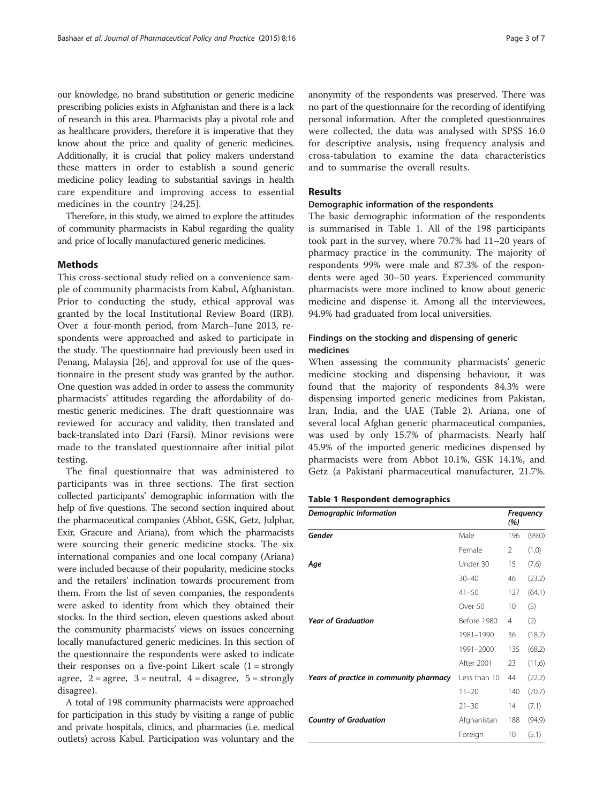our knowledge, no brand substitution or generic medicine prescribing policies exists in Afghanistan and there is a lack of research in this area. Pharmacists play a pivotal role and as healthcare providers, therefore it is imperative that they know about the price and quality of generic medicines. Additionally, it is crucial that policy makers understand these matters in order to establish a sound generic medicine policy leading to substantial savings in health care expenditure and improving access to essential medicines in the country [[24,25](#page-6-0)].

Therefore, in this study, we aimed to explore the attitudes of community pharmacists in Kabul regarding the quality and price of locally manufactured generic medicines.

## Methods

This cross-sectional study relied on a convenience sample of community pharmacists from Kabul, Afghanistan. Prior to conducting the study, ethical approval was granted by the local Institutional Review Board (IRB). Over a four-month period, from March–June 2013, respondents were approached and asked to participate in the study. The questionnaire had previously been used in Penang, Malaysia [[26](#page-6-0)], and approval for use of the questionnaire in the present study was granted by the author. One question was added in order to assess the community pharmacists' attitudes regarding the affordability of domestic generic medicines. The draft questionnaire was reviewed for accuracy and validity, then translated and back-translated into Dari (Farsi). Minor revisions were made to the translated questionnaire after initial pilot testing.

The final questionnaire that was administered to participants was in three sections. The first section collected participants' demographic information with the help of five questions. The second section inquired about the pharmaceutical companies (Abbot, GSK, Getz, Julphar, Exir, Gracure and Ariana), from which the pharmacists were sourcing their generic medicine stocks. The six international companies and one local company (Ariana) were included because of their popularity, medicine stocks and the retailers' inclination towards procurement from them. From the list of seven companies, the respondents were asked to identity from which they obtained their stocks. In the third section, eleven questions asked about the community pharmacists' views on issues concerning locally manufactured generic medicines. In this section of the questionnaire the respondents were asked to indicate their responses on a five-point Likert scale  $(1 =$  strongly agree,  $2 = \text{agree}$ ,  $3 = \text{neutral}$ ,  $4 = \text{disagree}$ ,  $5 = \text{strongly}$ disagree).

A total of 198 community pharmacists were approached for participation in this study by visiting a range of public and private hospitals, clinics, and pharmacies (i.e. medical outlets) across Kabul. Participation was voluntary and the anonymity of the respondents was preserved. There was no part of the questionnaire for the recording of identifying personal information. After the completed questionnaires were collected, the data was analysed with SPSS 16.0 for descriptive analysis, using frequency analysis and cross-tabulation to examine the data characteristics and to summarise the overall results.

## Results

## Demographic information of the respondents

The basic demographic information of the respondents is summarised in Table 1. All of the 198 participants took part in the survey, where 70.7% had 11–20 years of pharmacy practice in the community. The majority of respondents 99% were male and 87.3% of the respondents were aged 30–50 years. Experienced community pharmacists were more inclined to know about generic medicine and dispense it. Among all the interviewees, 94.9% had graduated from local universities.

## Findings on the stocking and dispensing of generic medicines

When assessing the community pharmacists' generic medicine stocking and dispensing behaviour, it was found that the majority of respondents 84.3% were dispensing imported generic medicines from Pakistan, Iran, India, and the UAE (Table [2\)](#page-3-0). Ariana, one of several local Afghan generic pharmaceutical companies, was used by only 15.7% of pharmacists. Nearly half 45.9% of the imported generic medicines dispensed by pharmacists were from Abbot 10.1%, GSK 14.1%, and Getz (a Pakistani pharmaceutical manufacturer, 21.7%.

## Table 1 Respondent demographics

| Demographic Information                 |              | Frequency<br>(%) |        |  |
|-----------------------------------------|--------------|------------------|--------|--|
| Gender                                  | Male         | 196              | (99.0) |  |
|                                         | Female       | 2                | (1.0)  |  |
| Age                                     | Under 30     | 15               | (7.6)  |  |
|                                         | $30 - 40$    | 46               | (23.2) |  |
|                                         | $41 - 50$    | 127              | (64.1) |  |
|                                         | Over 50      | 10               | (5)    |  |
| <b>Year of Graduation</b>               | Before 1980  | 4                | (2)    |  |
|                                         | 1981-1990    | 36               | (18.2) |  |
|                                         | 1991-2000    | 135              | (68.2) |  |
|                                         | After 2001   | 23               | (11.6) |  |
| Years of practice in community pharmacy | Less than 10 | 44               | (22.2) |  |
|                                         | $11 - 20$    | 140              | (70.7) |  |
|                                         | $21 - 30$    | 14               | (7.1)  |  |
| <b>Country of Graduation</b>            | Afghanistan  | 188              | (94.9) |  |
|                                         | Foreign      | 10               | (5.1)  |  |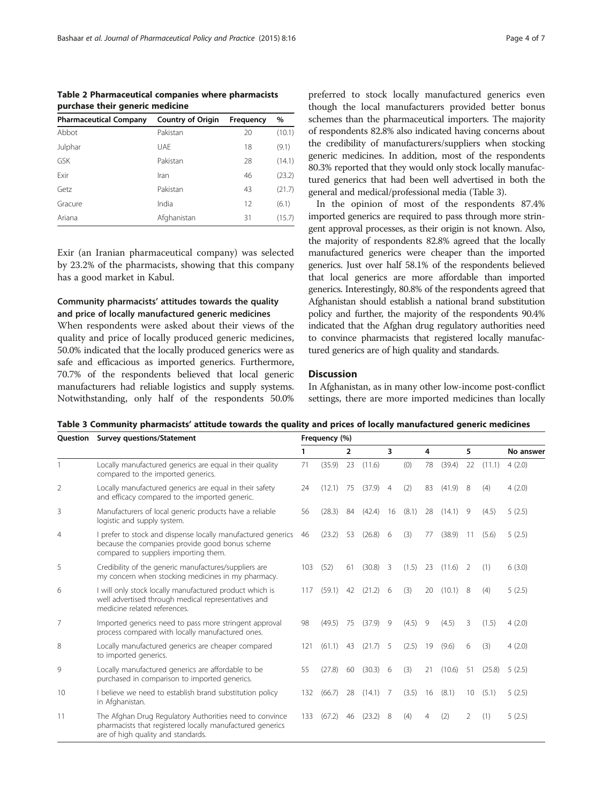<span id="page-3-0"></span>Table 2 Pharmaceutical companies where pharmacists purchase their generic medicine

| <b>Pharmaceutical Company</b> | <b>Country of Origin</b> | Frequency | $\%$   |  |
|-------------------------------|--------------------------|-----------|--------|--|
| Abbot                         | Pakistan                 | 20        | (10.1) |  |
| Julphar                       | <b>UAE</b>               | 18        | (9.1)  |  |
| <b>GSK</b>                    | Pakistan                 | 28        | (14.1) |  |
| Exir                          | Iran                     | 46        | (23.2) |  |
| Getz                          | Pakistan                 | 43        | (21.7) |  |
| Gracure                       | India                    | 12        | (6.1)  |  |
| Ariana                        | Afghanistan              | 31        | (15.7) |  |

Exir (an Iranian pharmaceutical company) was selected by 23.2% of the pharmacists, showing that this company has a good market in Kabul.

## Community pharmacists' attitudes towards the quality and price of locally manufactured generic medicines

When respondents were asked about their views of the quality and price of locally produced generic medicines, 50.0% indicated that the locally produced generics were as safe and efficacious as imported generics. Furthermore, 70.7% of the respondents believed that local generic manufacturers had reliable logistics and supply systems. Notwithstanding, only half of the respondents 50.0%

preferred to stock locally manufactured generics even though the local manufacturers provided better bonus schemes than the pharmaceutical importers. The majority of respondents 82.8% also indicated having concerns about the credibility of manufacturers/suppliers when stocking generic medicines. In addition, most of the respondents 80.3% reported that they would only stock locally manufactured generics that had been well advertised in both the general and medical/professional media (Table 3).

In the opinion of most of the respondents 87.4% imported generics are required to pass through more stringent approval processes, as their origin is not known. Also, the majority of respondents 82.8% agreed that the locally manufactured generics were cheaper than the imported generics. Just over half 58.1% of the respondents believed that local generics are more affordable than imported generics. Interestingly, 80.8% of the respondents agreed that Afghanistan should establish a national brand substitution policy and further, the majority of the respondents 90.4% indicated that the Afghan drug regulatory authorities need to convince pharmacists that registered locally manufactured generics are of high quality and standards.

## **Discussion**

In Afghanistan, as in many other low-income post-conflict settings, there are more imported medicines than locally

| Table 3 Community pharmacists' attitude towards the quality and prices of locally manufactured generic medicines |  |  |  |  |  |  |
|------------------------------------------------------------------------------------------------------------------|--|--|--|--|--|--|
|------------------------------------------------------------------------------------------------------------------|--|--|--|--|--|--|

|                | Question Survey questions/Statement                                                                                                                        | Frequency (%) |        |                |        |                |       |    |        |     |        |           |
|----------------|------------------------------------------------------------------------------------------------------------------------------------------------------------|---------------|--------|----------------|--------|----------------|-------|----|--------|-----|--------|-----------|
|                |                                                                                                                                                            | 1             |        | $\overline{2}$ |        | 3              |       | 4  |        | 5   |        | No answer |
|                | Locally manufactured generics are equal in their quality<br>compared to the imported generics.                                                             | 71            | (35.9) | 23             | (11.6) |                | (0)   | 78 | (39.4) | 22  | (11.1) | 4(2.0)    |
| 2              | Locally manufactured generics are equal in their safety<br>and efficacy compared to the imported generic.                                                  | 24            | (12.1) | 75             | (37.9) | $\overline{4}$ | (2)   | 83 | (41.9) | 8   | (4)    | 4(2.0)    |
| 3              | Manufacturers of local generic products have a reliable<br>logistic and supply system.                                                                     | 56            | (28.3) | 84             | (42.4) | 16             | (8.1) | 28 | (14.1) | 9   | (4.5)  | 5(2.5)    |
| $\overline{4}$ | prefer to stock and dispense locally manufactured generics<br>because the companies provide good bonus scheme<br>compared to suppliers importing them.     | 46            | (23.2) | 53             | (26.8) | 6              | (3)   | 77 | (38.9) | -11 | (5.6)  | 5(2.5)    |
| 5              | Credibility of the generic manufactures/suppliers are<br>my concern when stocking medicines in my pharmacy.                                                | 103           | (52)   | 61             | (30.8) | 3              | (1.5) | 23 | (11.6) | 2   | (1)    | 6(3.0)    |
| 6              | I will only stock locally manufactured product which is<br>well advertised through medical representatives and<br>medicine related references.             | 117           | (59.1) | 42             | (21.2) | - 6            | (3)   | 20 | (10.1) | 8   | (4)    | 5(2.5)    |
| 7              | Imported generics need to pass more stringent approval<br>process compared with locally manufactured ones.                                                 | 98            | (49.5) | 75             | (37.9) | 9              | (4.5) | 9  | (4.5)  | 3   | (1.5)  | 4(2.0)    |
| 8              | Locally manufactured generics are cheaper compared<br>to imported generics.                                                                                | 121           | (61.1) | 43             | (21.7) | 5              | (2.5) | 19 | (9.6)  | 6   | (3)    | 4(2.0)    |
| 9              | Locally manufactured generics are affordable to be<br>purchased in comparison to imported generics.                                                        | 55            | (27.8) | 60             | (30.3) | 6              | (3)   | 21 | (10.6) | 51  | (25.8) | 5(2.5)    |
| 10             | I believe we need to establish brand substitution policy<br>in Afghanistan.                                                                                | 132           | (66.7) | 28             | (14.1) | 7              | (3.5) | 16 | (8.1)  | 10  | (5.1)  | 5(2.5)    |
| 11             | The Afghan Drug Regulatory Authorities need to convince<br>pharmacists that registered locally manufactured generics<br>are of high quality and standards. | 133           | (67.2) | 46             | (23.2) | 8              | (4)   | 4  | (2)    | 2   | (1)    | 5(2.5)    |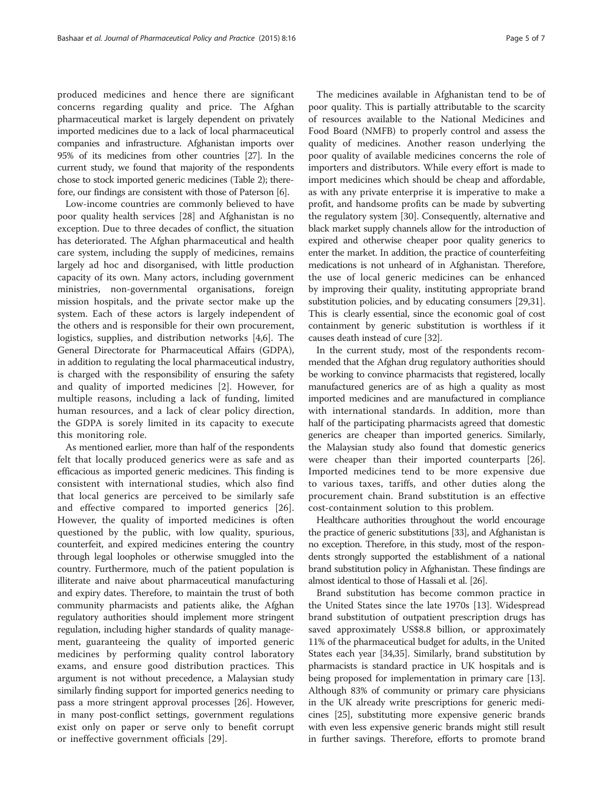produced medicines and hence there are significant concerns regarding quality and price. The Afghan pharmaceutical market is largely dependent on privately imported medicines due to a lack of local pharmaceutical companies and infrastructure. Afghanistan imports over 95% of its medicines from other countries [[27](#page-6-0)]. In the current study, we found that majority of the respondents chose to stock imported generic medicines (Table [2](#page-3-0)); therefore, our findings are consistent with those of Paterson [\[6\]](#page-5-0).

Low-income countries are commonly believed to have poor quality health services [\[28\]](#page-6-0) and Afghanistan is no exception. Due to three decades of conflict, the situation has deteriorated. The Afghan pharmaceutical and health care system, including the supply of medicines, remains largely ad hoc and disorganised, with little production capacity of its own. Many actors, including government ministries, non-governmental organisations, foreign mission hospitals, and the private sector make up the system. Each of these actors is largely independent of the others and is responsible for their own procurement, logistics, supplies, and distribution networks [[4](#page-5-0),[6\]](#page-5-0). The General Directorate for Pharmaceutical Affairs (GDPA), in addition to regulating the local pharmaceutical industry, is charged with the responsibility of ensuring the safety and quality of imported medicines [[2\]](#page-5-0). However, for multiple reasons, including a lack of funding, limited human resources, and a lack of clear policy direction, the GDPA is sorely limited in its capacity to execute this monitoring role.

As mentioned earlier, more than half of the respondents felt that locally produced generics were as safe and as efficacious as imported generic medicines. This finding is consistent with international studies, which also find that local generics are perceived to be similarly safe and effective compared to imported generics [\[26](#page-6-0)]. However, the quality of imported medicines is often questioned by the public, with low quality, spurious, counterfeit, and expired medicines entering the country through legal loopholes or otherwise smuggled into the country. Furthermore, much of the patient population is illiterate and naive about pharmaceutical manufacturing and expiry dates. Therefore, to maintain the trust of both community pharmacists and patients alike, the Afghan regulatory authorities should implement more stringent regulation, including higher standards of quality management, guaranteeing the quality of imported generic medicines by performing quality control laboratory exams, and ensure good distribution practices. This argument is not without precedence, a Malaysian study similarly finding support for imported generics needing to pass a more stringent approval processes [\[26\]](#page-6-0). However, in many post-conflict settings, government regulations exist only on paper or serve only to benefit corrupt or ineffective government officials [[29\]](#page-6-0).

The medicines available in Afghanistan tend to be of poor quality. This is partially attributable to the scarcity of resources available to the National Medicines and Food Board (NMFB) to properly control and assess the quality of medicines. Another reason underlying the poor quality of available medicines concerns the role of importers and distributors. While every effort is made to import medicines which should be cheap and affordable, as with any private enterprise it is imperative to make a profit, and handsome profits can be made by subverting the regulatory system [[30\]](#page-6-0). Consequently, alternative and black market supply channels allow for the introduction of expired and otherwise cheaper poor quality generics to enter the market. In addition, the practice of counterfeiting medications is not unheard of in Afghanistan. Therefore, the use of local generic medicines can be enhanced by improving their quality, instituting appropriate brand substitution policies, and by educating consumers [\[29,31](#page-6-0)]. This is clearly essential, since the economic goal of cost containment by generic substitution is worthless if it causes death instead of cure [\[32\]](#page-6-0).

In the current study, most of the respondents recommended that the Afghan drug regulatory authorities should be working to convince pharmacists that registered, locally manufactured generics are of as high a quality as most imported medicines and are manufactured in compliance with international standards. In addition, more than half of the participating pharmacists agreed that domestic generics are cheaper than imported generics. Similarly, the Malaysian study also found that domestic generics were cheaper than their imported counterparts [[26](#page-6-0)]. Imported medicines tend to be more expensive due to various taxes, tariffs, and other duties along the procurement chain. Brand substitution is an effective cost-containment solution to this problem.

Healthcare authorities throughout the world encourage the practice of generic substitutions [\[33](#page-6-0)], and Afghanistan is no exception. Therefore, in this study, most of the respondents strongly supported the establishment of a national brand substitution policy in Afghanistan. These findings are almost identical to those of Hassali et al. [\[26](#page-6-0)].

Brand substitution has become common practice in the United States since the late 1970s [[13\]](#page-5-0). Widespread brand substitution of outpatient prescription drugs has saved approximately US\$8.8 billion, or approximately 11% of the pharmaceutical budget for adults, in the United States each year [\[34,35\]](#page-6-0). Similarly, brand substitution by pharmacists is standard practice in UK hospitals and is being proposed for implementation in primary care [[13](#page-5-0)]. Although 83% of community or primary care physicians in the UK already write prescriptions for generic medicines [\[25](#page-6-0)], substituting more expensive generic brands with even less expensive generic brands might still result in further savings. Therefore, efforts to promote brand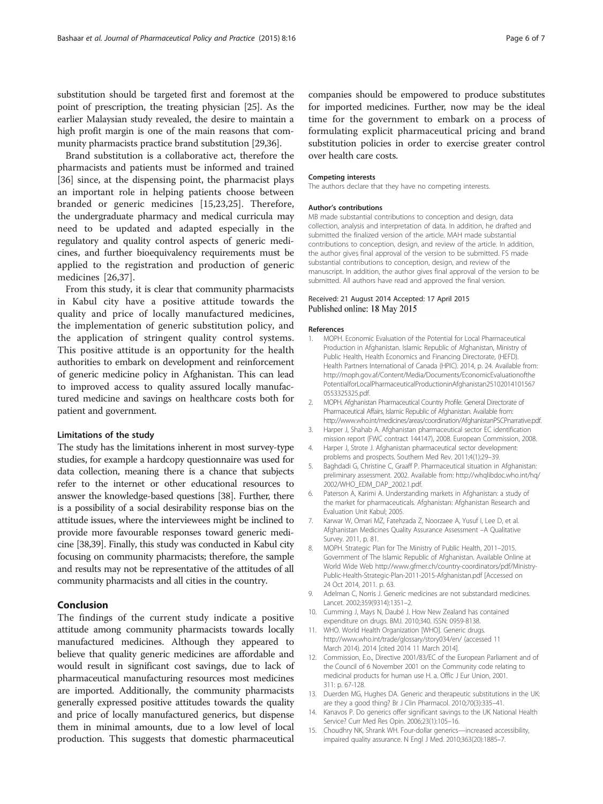<span id="page-5-0"></span>substitution should be targeted first and foremost at the point of prescription, the treating physician [\[25\]](#page-6-0). As the earlier Malaysian study revealed, the desire to maintain a high profit margin is one of the main reasons that community pharmacists practice brand substitution [[29,36](#page-6-0)].

Brand substitution is a collaborative act, therefore the pharmacists and patients must be informed and trained [[36\]](#page-6-0) since, at the dispensing point, the pharmacist plays an important role in helping patients choose between branded or generic medicines [15,[23,25](#page-6-0)]. Therefore, the undergraduate pharmacy and medical curricula may need to be updated and adapted especially in the regulatory and quality control aspects of generic medicines, and further bioequivalency requirements must be applied to the registration and production of generic medicines [[26,37\]](#page-6-0).

From this study, it is clear that community pharmacists in Kabul city have a positive attitude towards the quality and price of locally manufactured medicines, the implementation of generic substitution policy, and the application of stringent quality control systems. This positive attitude is an opportunity for the health authorities to embark on development and reinforcement of generic medicine policy in Afghanistan. This can lead to improved access to quality assured locally manufactured medicine and savings on healthcare costs both for patient and government.

## Limitations of the study

The study has the limitations inherent in most survey-type studies, for example a hardcopy questionnaire was used for data collection, meaning there is a chance that subjects refer to the internet or other educational resources to answer the knowledge-based questions [\[38\]](#page-6-0). Further, there is a possibility of a social desirability response bias on the attitude issues, where the interviewees might be inclined to provide more favourable responses toward generic medicine [[38,39\]](#page-6-0). Finally, this study was conducted in Kabul city focusing on community pharmacists; therefore, the sample and results may not be representative of the attitudes of all community pharmacists and all cities in the country.

## Conclusion

The findings of the current study indicate a positive attitude among community pharmacists towards locally manufactured medicines. Although they appeared to believe that quality generic medicines are affordable and would result in significant cost savings, due to lack of pharmaceutical manufacturing resources most medicines are imported. Additionally, the community pharmacists generally expressed positive attitudes towards the quality and price of locally manufactured generics, but dispense them in minimal amounts, due to a low level of local production. This suggests that domestic pharmaceutical companies should be empowered to produce substitutes for imported medicines. Further, now may be the ideal time for the government to embark on a process of formulating explicit pharmaceutical pricing and brand substitution policies in order to exercise greater control over health care costs.

#### Competing interests

The authors declare that they have no competing interests.

#### Author's contributions

MB made substantial contributions to conception and design, data collection, analysis and interpretation of data. In addition, he drafted and submitted the finalized version of the article. MAH made substantial contributions to conception, design, and review of the article. In addition, the author gives final approval of the version to be submitted. FS made substantial contributions to conception, design, and review of the manuscript. In addition, the author gives final approval of the version to be submitted. All authors have read and approved the final version.

### Received: 21 August 2014 Accepted: 17 April 2015 Published online: 18 May 2015

#### References

- 1. MOPH. Economic Evaluation of the Potential for Local Pharmaceutical Production in Afghanistan. Islamic Republic of Afghanistan, Ministry of Public Health, Health Economics and Financing Directorate, (HEFD). Health Partners International of Canada (HPIC). 2014, p. 24. Available from: [http://moph.gov.af/Content/Media/Documents/EconomicEvaluationofthe](http://moph.gov.af/Content/Media/Documents/EconomicEvaluationofthePotentialforLocalPharmaceuticalProductioninAfghanistan251020141015670553325325.pdf) [PotentialforLocalPharmaceuticalProductioninAfghanistan25102014101567](http://moph.gov.af/Content/Media/Documents/EconomicEvaluationofthePotentialforLocalPharmaceuticalProductioninAfghanistan251020141015670553325325.pdf) [0553325325.pdf.](http://moph.gov.af/Content/Media/Documents/EconomicEvaluationofthePotentialforLocalPharmaceuticalProductioninAfghanistan251020141015670553325325.pdf)
- 2. MOPH. Afghanistan Pharmaceutical Country Profile. General Directorate of Pharmaceutical Affairs, Islamic Republic of Afghanistan. Available from: <http://www.who.int/medicines/areas/coordination/AfghanistanPSCPnarrative.pdf>.
- 3. Harper J, Shahab A. Afghanistan pharmaceutical sector EC identification mission report (FWC contract 144147), 2008. European Commission, 2008.
- 4. Harper J, Strote J. Afghanistan pharmaceutical sector development: problems and prospects. Southern Med Rev. 2011;4(1):29–39.
- 5. Baghdadi G, Christine C, Graaff P. Pharmaceutical situation in Afghanistan: preliminary assessment. 2002. Available from: [http://whqlibdoc.who.int/hq/](http://whqlibdoc.who.int/hq/2002/WHO_EDM_DAP_2002.1.pdf) [2002/WHO\\_EDM\\_DAP\\_2002.1.pdf](http://whqlibdoc.who.int/hq/2002/WHO_EDM_DAP_2002.1.pdf).
- 6. Paterson A, Karimi A. Understanding markets in Afghanistan: a study of the market for pharmaceuticals. Afghanistan: Afghanistan Research and Evaluation Unit Kabul; 2005.
- 7. Karwar W, Omari MZ, Fatehzada Z, Noorzaee A, Yusuf I, Lee D, et al. Afghanistan Medicines Quality Assurance Assessment –A Qualitative Survey. 2011, p. 81.
- 8. MOPH. Strategic Plan for The Ministry of Public Health, 2011–2015. Government of The Islamic Republic of Afghanistan. Available Online at World Wide Web [http://www.gfmer.ch/country-coordinators/pdf/Ministry-](http://www.gfmer.ch/country-coordinators/pdf/Ministry-Public-Health-Strategic-Plan-2011-2015-Afghanistan.pdf)[Public-Health-Strategic-Plan-2011-2015-Afghanistan.pdf](http://www.gfmer.ch/country-coordinators/pdf/Ministry-Public-Health-Strategic-Plan-2011-2015-Afghanistan.pdf) [Accessed on 24 Oct 2014, 2011. p. 63.
- 9. Adelman C, Norris J. Generic medicines are not substandard medicines. Lancet. 2002;359(9314):1351–2.
- 10. Cumming J, Mays N, Daubé J. How New Zealand has contained expenditure on drugs. BMJ. 2010;340. ISSN: 0959-8138.
- 11. WHO. World Health Organization [WHO]. Generic drugs. <http://www.who.int/trade/glossary/story034/en/> (accessed 11 March 2014). 2014 [cited 2014 11 March 2014].
- 12. Commission, E.o., Directive 2001/83/EC of the European Parliament and of the Council of 6 November 2001 on the Community code relating to medicinal products for human use H. a. Offic J Eur Union, 2001. 311: p. 67-128.
- 13. Duerden MG, Hughes DA. Generic and therapeutic substitutions in the UK: are they a good thing? Br J Clin Pharmacol. 2010;70(3):335–41.
- 14. Kanavos P. Do generics offer significant savings to the UK National Health Service? Curr Med Res Opin. 2006;23(1):105–16.
- 15. Choudhry NK, Shrank WH. Four-dollar generics—increased accessibility, impaired quality assurance. N Engl J Med. 2010;363(20):1885–7.